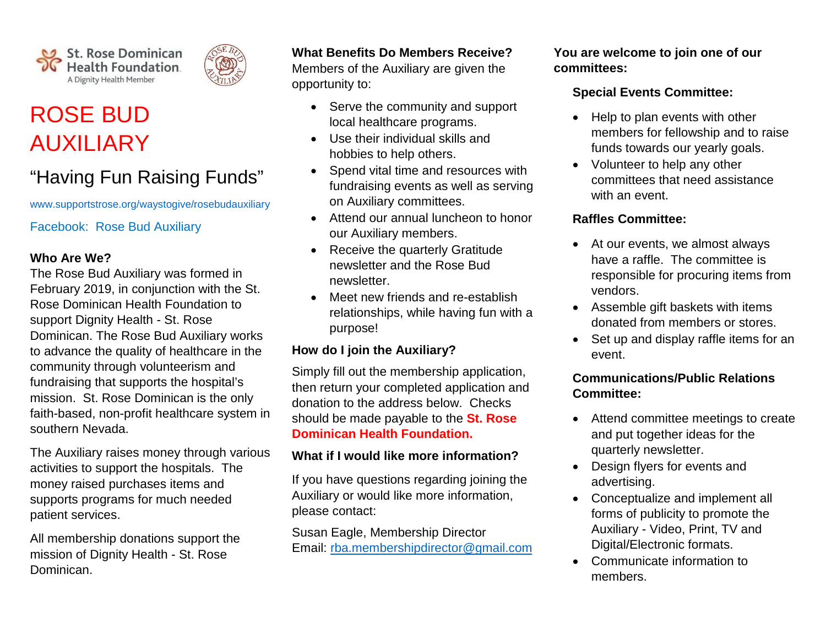

# ROSE BUD AUXILIARY

## "Having Fun Raising Funds"

[www.supportstrose.org/waystogive/rosebudauxiliary](http://www.supportstrose.org/waystogive/rosebudauxiliary)

Facebook: Rose Bud Auxiliary

#### **Who Are We?**

The Rose Bud Auxiliary was formed in February 2019, in conjunction with the St. Rose Dominican Health Foundation to support Dignity Health - St. Rose Dominican. The Rose Bud Auxiliary works to advance the quality of healthcare in the community through volunteerism and fundraising that supports the hospital's mission. St. Rose Dominican is the only faith-based, non-profit healthcare system in southern Nevada.

The Auxiliary raises money through various activities to support the hospitals. The money raised purchases items and supports programs for much needed patient services.

All membership donations support the mission of Dignity Health - St. Rose Dominican.

#### **What Benefits Do Members Receive?**

Members of the Auxiliary are given the opportunity to:

- Serve the community and support local healthcare programs.
- Use their individual skills and hobbies to help others.
- Spend vital time and resources with fundraising events as well as serving on Auxiliary committees.
- Attend our annual luncheon to honor our Auxiliary members.
- Receive the quarterly Gratitude newsletter and the Rose Bud newsletter.
- Meet new friends and re-establish relationships, while having fun with a purpose!

#### **How do I join the Auxiliary?**

Simply fill out the membership application, then return your completed application and donation to the address below. Checks should be made payable to the **St. Rose Dominican Health Foundation.**

#### **What if I would like more information?**

If you have questions regarding joining the Auxiliary or would like more information, please contact:

Susan Eagle, Membership Director Email: [rba.membershipdirector@gmail.com](mailto:rba.membershipdirector@gmail.com) **You are welcome to join one of our committees:**

#### **Special Events Committee:**

- Help to plan events with other members for fellowship and to raise funds towards our yearly goals.
- Volunteer to help any other committees that need assistance with an event.

#### **Raffles Committee:**

- At our events, we almost always have a raffle. The committee is responsible for procuring items from vendors.
- Assemble gift baskets with items donated from members or stores.
- Set up and display raffle items for an event.

#### **Communications/Public Relations Committee:**

- Attend committee meetings to create and put together ideas for the quarterly newsletter.
- Design flyers for events and advertising.
- Conceptualize and implement all forms of publicity to promote the Auxiliary - Video, Print, TV and Digital/Electronic formats.
- Communicate information to members.